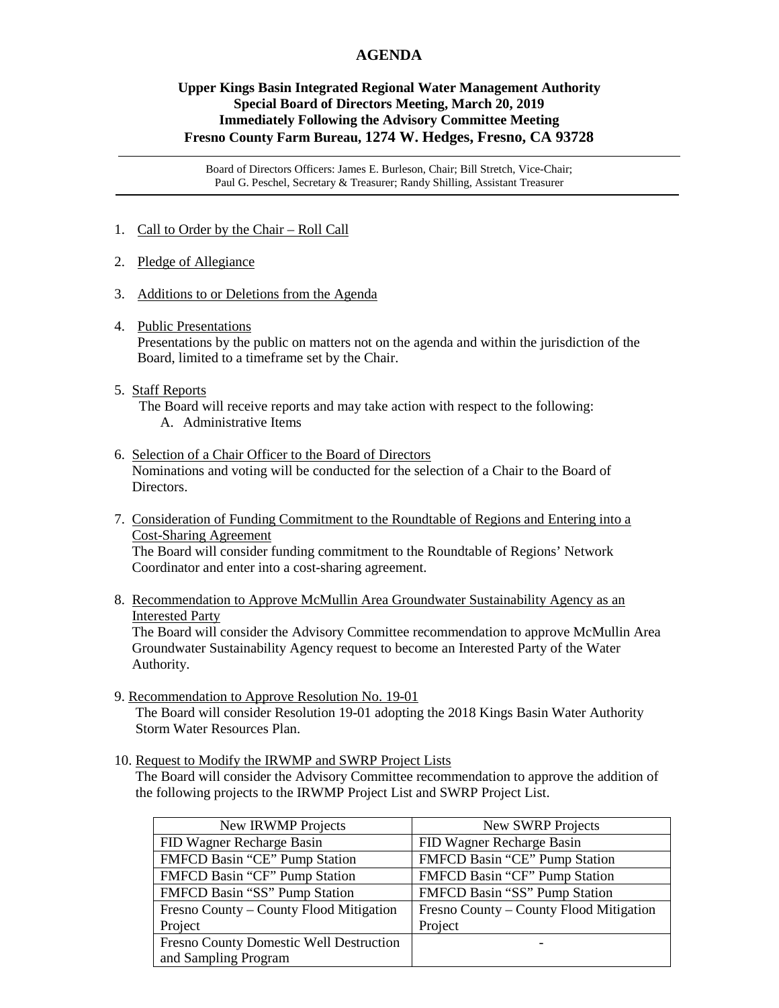## **AGENDA**

## **Upper Kings Basin Integrated Regional Water Management Authority Special Board of Directors Meeting, March 20, 2019 Immediately Following the Advisory Committee Meeting Fresno County Farm Bureau, 1274 W. Hedges, Fresno, CA 93728**

Board of Directors Officers: James E. Burleson, Chair; Bill Stretch, Vice-Chair; Paul G. Peschel, Secretary & Treasurer; Randy Shilling, Assistant Treasurer

- 1. Call to Order by the Chair Roll Call
- 2. Pledge of Allegiance
- 3. Additions to or Deletions from the Agenda
- 4. Public Presentations

Presentations by the public on matters not on the agenda and within the jurisdiction of the Board, limited to a timeframe set by the Chair.

## 5. Staff Reports

 The Board will receive reports and may take action with respect to the following: A. Administrative Items

6. Selection of a Chair Officer to the Board of Directors

 Nominations and voting will be conducted for the selection of a Chair to the Board of Directors.

7. Consideration of Funding Commitment to the Roundtable of Regions and Entering into a Cost-Sharing Agreement

 The Board will consider funding commitment to the Roundtable of Regions' Network Coordinator and enter into a cost-sharing agreement.

8. Recommendation to Approve McMullin Area Groundwater Sustainability Agency as an Interested Party

 The Board will consider the Advisory Committee recommendation to approve McMullin Area Groundwater Sustainability Agency request to become an Interested Party of the Water Authority.

9. Recommendation to Approve Resolution No. 19-01

The Board will consider Resolution 19-01 adopting the 2018 Kings Basin Water Authority Storm Water Resources Plan.

10. Request to Modify the IRWMP and SWRP Project Lists

 The Board will consider the Advisory Committee recommendation to approve the addition of the following projects to the IRWMP Project List and SWRP Project List.

| New IRWMP Projects                      | New SWRP Projects                       |
|-----------------------------------------|-----------------------------------------|
| FID Wagner Recharge Basin               | FID Wagner Recharge Basin               |
| FMFCD Basin "CE" Pump Station           | FMFCD Basin "CE" Pump Station           |
| FMFCD Basin "CF" Pump Station           | FMFCD Basin "CF" Pump Station           |
| FMFCD Basin "SS" Pump Station           | FMFCD Basin "SS" Pump Station           |
| Fresno County – County Flood Mitigation | Fresno County – County Flood Mitigation |
| Project                                 | Project                                 |
| Fresno County Domestic Well Destruction |                                         |
| and Sampling Program                    |                                         |